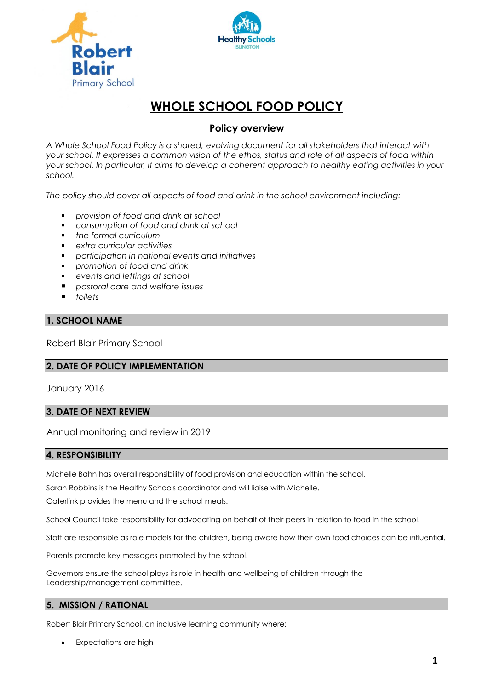



# **WHOLE SCHOOL FOOD POLICY**

# **Policy overview**

*A Whole School Food Policy is a shared, evolving document for all stakeholders that interact with your school. It expresses a common vision of the ethos, status and role of all aspects of food within your school. In particular, it aims to develop a coherent approach to healthy eating activities in your school.*

*The policy should cover all aspects of food and drink in the school environment including:-*

- *provision of food and drink at school*
- *consumption of food and drink at school*
- *the formal curriculum*
- *extra curricular activities*
- *participation in national events and initiatives*
- *promotion of food and drink*
- *events and lettings at school*
- *pastoral care and welfare issues*
- *toilets*

# **1. SCHOOL NAME**

Robert Blair Primary School

# **2. DATE OF POLICY IMPLEMENTATION**

January 2016

# **3. DATE OF NEXT REVIEW**

Annual monitoring and review in 2019

#### **4. RESPONSIBILITY**

Michelle Bahn has overall responsibility of food provision and education within the school.

Sarah Robbins is the Healthy Schools coordinator and will liaise with Michelle.

Caterlink provides the menu and the school meals.

School Council take responsibility for advocating on behalf of their peers in relation to food in the school.

Staff are responsible as role models for the children, being aware how their own food choices can be influential.

Parents promote key messages promoted by the school.

Governors ensure the school plays its role in health and wellbeing of children through the Leadership/management committee.

# **5. MISSION / RATIONAL**

Robert Blair Primary School, an inclusive learning community where:

Expectations are high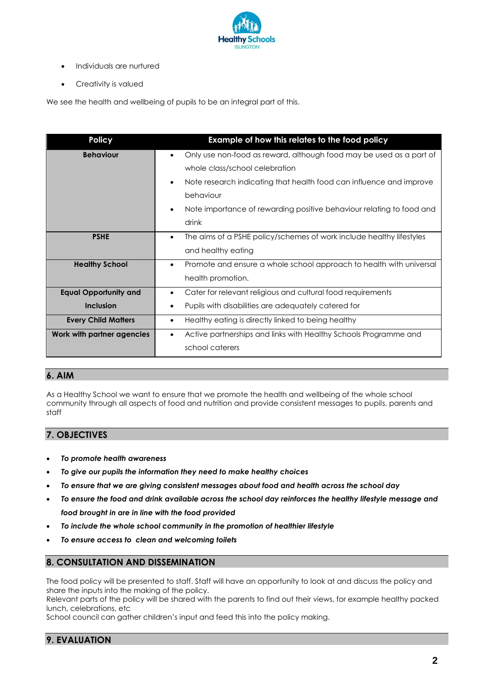

- Individuals are nurtured
- Creativity is valued

We see the health and wellbeing of pupils to be an integral part of this.

| <b>Policy</b>                | Example of how this relates to the food policy                                    |
|------------------------------|-----------------------------------------------------------------------------------|
| <b>Behaviour</b>             | Only use non-food as reward, although food may be used as a part of               |
|                              | whole class/school celebration                                                    |
|                              | Note research indicating that health food can influence and improve<br>٠          |
|                              | behaviour                                                                         |
|                              | Note importance of rewarding positive behaviour relating to food and              |
|                              | drink                                                                             |
| <b>PSHE</b>                  | The aims of a PSHE policy/schemes of work include healthy lifestyles<br>$\bullet$ |
|                              | and healthy eating                                                                |
| <b>Healthy School</b>        | Promote and ensure a whole school approach to health with universal<br>$\bullet$  |
|                              | health promotion.                                                                 |
| <b>Equal Opportunity and</b> | Cater for relevant religious and cultural food requirements                       |
| <b>Inclusion</b>             | Pupils with disabilities are adequately catered for                               |
| <b>Every Child Matters</b>   | Healthy eating is directly linked to being healthy<br>٠                           |
| Work with partner agencies   | Active partnerships and links with Healthy Schools Programme and<br>$\bullet$     |
|                              | school caterers                                                                   |

# **6. AIM**

As a Healthy School we want to ensure that we promote the health and wellbeing of the whole school community through all aspects of food and nutrition and provide consistent messages to pupils, parents and staff

# **7. OBJECTIVES**

- *To promote health awareness*
- *To give our pupils the information they need to make healthy choices*
- *To ensure that we are giving consistent messages about food and health across the school day*
- *To ensure the food and drink available across the school day reinforces the healthy lifestyle message and food brought in are in line with the food provided*
- *To include the whole school community in the promotion of healthier lifestyle*
- *To ensure access to clean and welcoming toilets*

# **8. CONSULTATION AND DISSEMINATION**

The food policy will be presented to staff. Staff will have an opportunity to look at and discuss the policy and share the inputs into the making of the policy.

Relevant parts of the policy will be shared with the parents to find out their views, for example healthy packed lunch, celebrations, etc

School council can gather children's input and feed this into the policy making.

# **9. EVALUATION**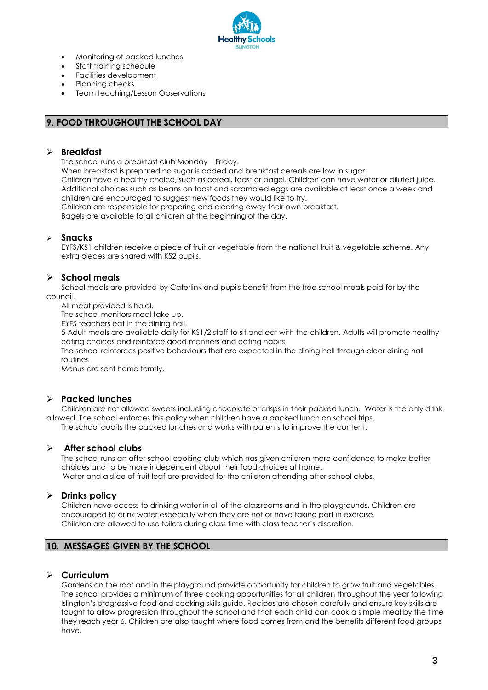

- Monitoring of packed lunches
- Staff training schedule
- Facilities development
- Planning checks
- Team teaching/Lesson Observations

#### **9. FOOD THROUGHOUT THE SCHOOL DAY**

#### **Breakfast**

The school runs a breakfast club Monday – Friday.

When breakfast is prepared no sugar is added and breakfast cereals are low in sugar. Children have a healthy choice, such as cereal, toast or bagel. Children can have water or diluted juice. Additional choices such as beans on toast and scrambled eggs are available at least once a week and children are encouraged to suggest new foods they would like to try.

Children are responsible for preparing and clearing away their own breakfast.

Bagels are available to all children at the beginning of the day.

#### **Snacks**

EYFS/KS1 children receive a piece of fruit or vegetable from the national fruit & vegetable scheme. Any extra pieces are shared with KS2 pupils.

# **School meals**

School meals are provided by Caterlink and pupils benefit from the free school meals paid for by the council.

All meat provided is halal.

The school monitors meal take up.

EYFS teachers eat in the dining hall.

5 Adult meals are available daily for KS1/2 staff to sit and eat with the children. Adults will promote healthy eating choices and reinforce good manners and eating habits

The school reinforces positive behaviours that are expected in the dining hall through clear dining hall routines

Menus are sent home termly.

# **Packed lunches**

Children are not allowed sweets including chocolate or crisps in their packed lunch. Water is the only drink allowed. The school enforces this policy when children have a packed lunch on school trips. The school audits the packed lunches and works with parents to improve the content.

**After school clubs**

The school runs an after school cooking club which has given children more confidence to make better choices and to be more independent about their food choices at home. Water and a slice of fruit loaf are provided for the children attending after school clubs.

#### **Drinks policy**

Children have access to drinking water in all of the classrooms and in the playgrounds. Children are encouraged to drink water especially when they are hot or have taking part in exercise. Children are allowed to use toilets during class time with class teacher's discretion.

# **10. MESSAGES GIVEN BY THE SCHOOL**

#### **Curriculum**

Gardens on the roof and in the playground provide opportunity for children to grow fruit and vegetables. The school provides a minimum of three cooking opportunities for all children throughout the year following Islington's progressive food and cooking skills guide. Recipes are chosen carefully and ensure key skills are taught to allow progression throughout the school and that each child can cook a simple meal by the time they reach year 6. Children are also taught where food comes from and the benefits different food groups have.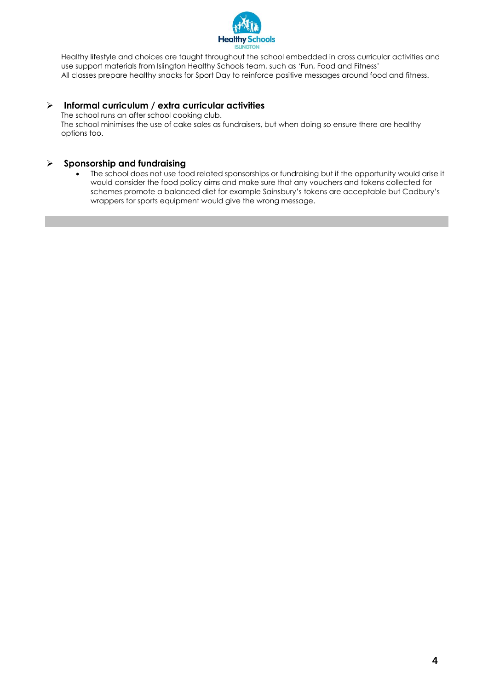

Healthy lifestyle and choices are taught throughout the school embedded in cross curricular activities and use support materials from Islington Healthy Schools team, such as 'Fun, Food and Fitness' All classes prepare healthy snacks for Sport Day to reinforce positive messages around food and fitness.

# **Informal curriculum / extra curricular activities**

The school runs an after school cooking club.

The school minimises the use of cake sales as fundraisers, but when doing so ensure there are healthy options too.

# **Sponsorship and fundraising**

 The school does not use food related sponsorships or fundraising but if the opportunity would arise it would consider the food policy aims and make sure that any vouchers and tokens collected for schemes promote a balanced diet for example Sainsbury's tokens are acceptable but Cadbury's wrappers for sports equipment would give the wrong message.